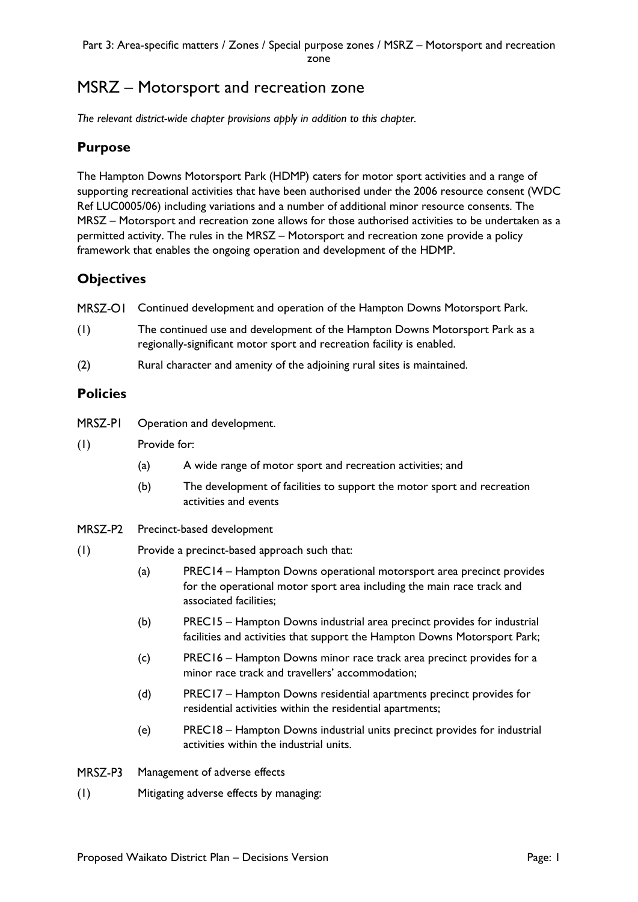# MSRZ – Motorsport and recreation zone

*The relevant district-wide chapter provisions apply in addition to this chapter.* 

## **Purpose**

The Hampton Downs Motorsport Park (HDMP) caters for motor sport activities and a range of supporting recreational activities that have been authorised under the 2006 resource consent (WDC Ref LUC0005/06) including variations and a number of additional minor resource consents. The MRSZ – Motorsport and recreation zone allows for those authorised activities to be undertaken as a permitted activity. The rules in the MRSZ – Motorsport and recreation zone provide a policy framework that enables the ongoing operation and development of the HDMP.

# **Objectives**

MRSZ-OI Continued development and operation of the Hampton Downs Motorsport Park.

- (1) The continued use and development of the Hampton Downs Motorsport Park as a regionally-significant motor sport and recreation facility is enabled.
- (2) Rural character and amenity of the adjoining rural sites is maintained.

#### **Policies**

| MRSZ-PI | Operation and development. |
|---------|----------------------------|
|---------|----------------------------|

- (1) Provide for:
	- (a) A wide range of motor sport and recreation activities; and
	- (b) The development of facilities to support the motor sport and recreation activities and events
- MRSZ-P2 Precinct-based development
- (1) Provide a precinct-based approach such that:
	- (a) PREC14 Hampton Downs operational motorsport area precinct provides for the operational motor sport area including the main race track and associated facilities;
	- (b) PREC15 Hampton Downs industrial area precinct provides for industrial facilities and activities that support the Hampton Downs Motorsport Park;
	- (c) PREC16 Hampton Downs minor race track area precinct provides for a minor race track and travellers' accommodation;
	- (d) PREC17 Hampton Downs residential apartments precinct provides for residential activities within the residential apartments;
	- (e) PREC18 Hampton Downs industrial units precinct provides for industrial activities within the industrial units.
- MRSZ-P3 Management of adverse effects
- (1) Mitigating adverse effects by managing: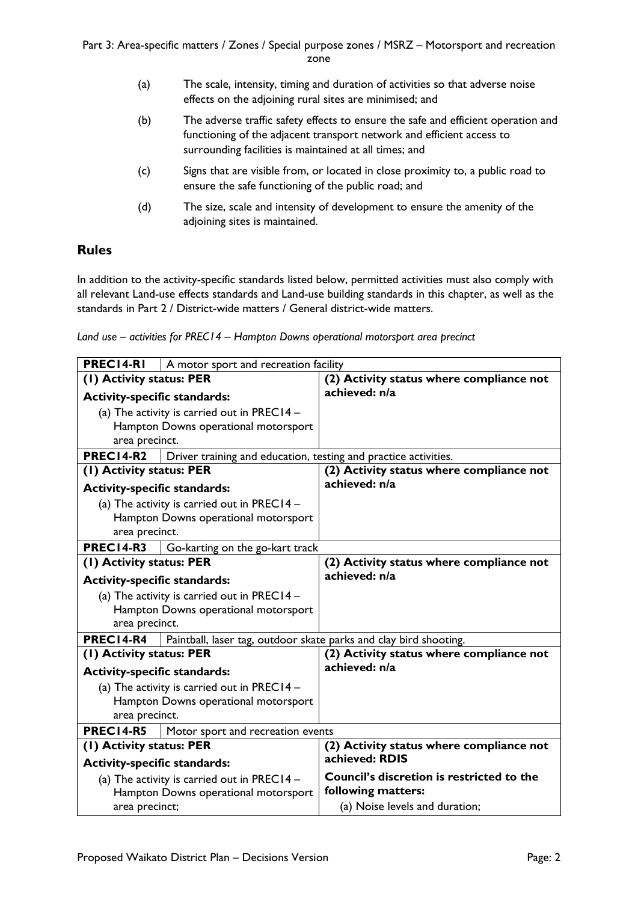- (a) The scale, intensity, timing and duration of activities so that adverse noise effects on the adjoining rural sites are minimised; and
- (b) The adverse traffic safety effects to ensure the safe and efficient operation and functioning of the adjacent transport network and efficient access to surrounding facilities is maintained at all times; and
- (c) Signs that are visible from, or located in close proximity to, a public road to ensure the safe functioning of the public road; and
- (d) The size, scale and intensity of development to ensure the amenity of the adjoining sites is maintained.

## **Rules**

In addition to the activity-specific standards listed below, permitted activities must also comply with all relevant Land-use effects standards and Land-use building standards in this chapter, as well as the standards in Part 2 / District-wide matters / General district-wide matters.

*Land use – activities for PREC14 – Hampton Downs operational motorsport area precinct*

| PREC14-RI                            | A motor sport and recreation facility                             |                                           |
|--------------------------------------|-------------------------------------------------------------------|-------------------------------------------|
| (1) Activity status: PER             |                                                                   | (2) Activity status where compliance not  |
| <b>Activity-specific standards:</b>  |                                                                   | achieved: n/a                             |
|                                      | (a) The activity is carried out in PREC14 -                       |                                           |
|                                      | Hampton Downs operational motorsport                              |                                           |
| area precinct.                       |                                                                   |                                           |
| PREC14-R2                            | Driver training and education, testing and practice activities.   |                                           |
| (1) Activity status: PER             |                                                                   | (2) Activity status where compliance not  |
| <b>Activity-specific standards:</b>  |                                                                   | achieved: n/a                             |
|                                      | (a) The activity is carried out in PREC14 $-$                     |                                           |
|                                      | Hampton Downs operational motorsport                              |                                           |
| area precinct.                       |                                                                   |                                           |
| <b>PREC14-R3</b>                     | Go-karting on the go-kart track                                   |                                           |
| (1) Activity status: PER             |                                                                   | (2) Activity status where compliance not  |
| <b>Activity-specific standards:</b>  |                                                                   | achieved: n/a                             |
|                                      | (a) The activity is carried out in PREC14 $-$                     |                                           |
|                                      | Hampton Downs operational motorsport                              |                                           |
| area precinct.                       |                                                                   |                                           |
| PREC14-R4                            | Paintball, laser tag, outdoor skate parks and clay bird shooting. |                                           |
| (1) Activity status: PER             |                                                                   | (2) Activity status where compliance not  |
| <b>Activity-specific standards:</b>  |                                                                   | achieved: n/a                             |
|                                      | (a) The activity is carried out in PREC14 $-$                     |                                           |
|                                      | Hampton Downs operational motorsport                              |                                           |
| area precinct.                       |                                                                   |                                           |
| PREC14-R5                            | Motor sport and recreation events                                 |                                           |
| (1) Activity status: PER             |                                                                   | (2) Activity status where compliance not  |
| <b>Activity-specific standards:</b>  |                                                                   | achieved: RDIS                            |
|                                      | (a) The activity is carried out in PREC14 $-$                     | Council's discretion is restricted to the |
| Hampton Downs operational motorsport |                                                                   | following matters:                        |
| area precinct;                       |                                                                   | (a) Noise levels and duration;            |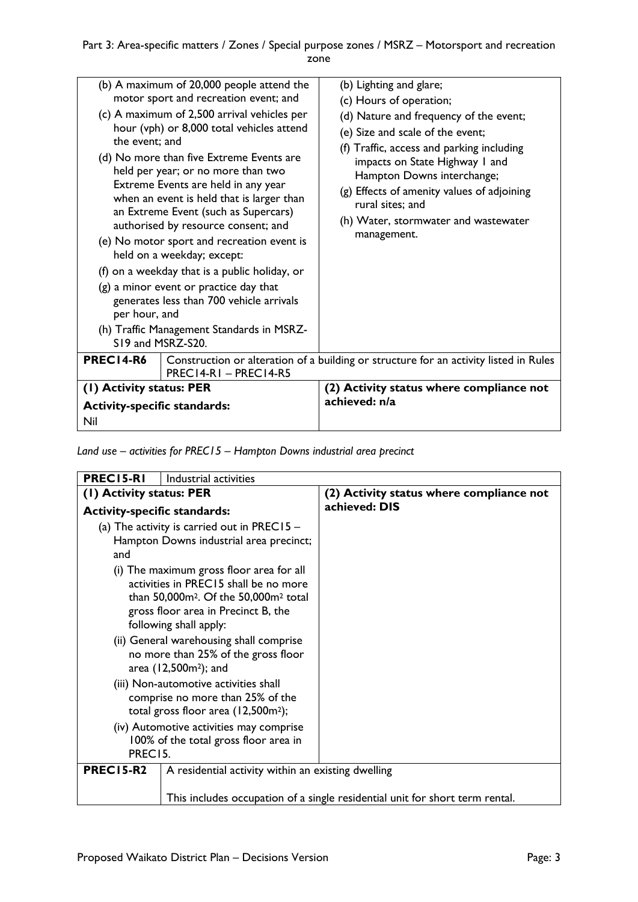| the event; and<br>per hour, and<br>S19 and MSRZ-S20. | (b) A maximum of 20,000 people attend the<br>motor sport and recreation event; and<br>(c) A maximum of 2,500 arrival vehicles per<br>hour (vph) or 8,000 total vehicles attend<br>(d) No more than five Extreme Events are<br>held per year; or no more than two<br>Extreme Events are held in any year<br>when an event is held that is larger than<br>an Extreme Event (such as Supercars)<br>authorised by resource consent; and<br>(e) No motor sport and recreation event is<br>held on a weekday; except:<br>(f) on a weekday that is a public holiday, or<br>$(g)$ a minor event or practice day that<br>generates less than 700 vehicle arrivals<br>(h) Traffic Management Standards in MSRZ- | (b) Lighting and glare;<br>(c) Hours of operation;<br>(d) Nature and frequency of the event;<br>(e) Size and scale of the event;<br>(f) Traffic, access and parking including<br>impacts on State Highway I and<br>Hampton Downs interchange;<br>(g) Effects of amenity values of adjoining<br>rural sites; and<br>(h) Water, stormwater and wastewater<br>management. |
|------------------------------------------------------|-------------------------------------------------------------------------------------------------------------------------------------------------------------------------------------------------------------------------------------------------------------------------------------------------------------------------------------------------------------------------------------------------------------------------------------------------------------------------------------------------------------------------------------------------------------------------------------------------------------------------------------------------------------------------------------------------------|------------------------------------------------------------------------------------------------------------------------------------------------------------------------------------------------------------------------------------------------------------------------------------------------------------------------------------------------------------------------|
| PREC14-R6<br>PREC14-RI-PREC14-R5                     |                                                                                                                                                                                                                                                                                                                                                                                                                                                                                                                                                                                                                                                                                                       | Construction or alteration of a building or structure for an activity listed in Rules                                                                                                                                                                                                                                                                                  |
| (1) Activity status: PER                             |                                                                                                                                                                                                                                                                                                                                                                                                                                                                                                                                                                                                                                                                                                       | (2) Activity status where compliance not                                                                                                                                                                                                                                                                                                                               |
| <b>Activity-specific standards:</b>                  |                                                                                                                                                                                                                                                                                                                                                                                                                                                                                                                                                                                                                                                                                                       | achieved: n/a                                                                                                                                                                                                                                                                                                                                                          |
| Nil                                                  |                                                                                                                                                                                                                                                                                                                                                                                                                                                                                                                                                                                                                                                                                                       |                                                                                                                                                                                                                                                                                                                                                                        |
|                                                      |                                                                                                                                                                                                                                                                                                                                                                                                                                                                                                                                                                                                                                                                                                       |                                                                                                                                                                                                                                                                                                                                                                        |

*Land use – activities for PREC15 – Hampton Downs industrial area precinct*

| PREC15-RI<br>Industrial activities                                                                                                                                                                                                                                                                    |                                                                              |
|-------------------------------------------------------------------------------------------------------------------------------------------------------------------------------------------------------------------------------------------------------------------------------------------------------|------------------------------------------------------------------------------|
| (1) Activity status: PER                                                                                                                                                                                                                                                                              | (2) Activity status where compliance not                                     |
| <b>Activity-specific standards:</b>                                                                                                                                                                                                                                                                   | achieved: DIS                                                                |
| (a) The activity is carried out in PREC15 $-$<br>Hampton Downs industrial area precinct;<br>and                                                                                                                                                                                                       |                                                                              |
| (i) The maximum gross floor area for all<br>activities in PREC15 shall be no more<br>than 50,000m <sup>2</sup> . Of the 50,000m <sup>2</sup> total<br>gross floor area in Precinct B, the<br>following shall apply:<br>(ii) General warehousing shall comprise<br>no more than 25% of the gross floor |                                                                              |
| area (12,500m <sup>2</sup> ); and<br>(iii) Non-automotive activities shall<br>comprise no more than 25% of the<br>total gross floor area (12,500m <sup>2</sup> );                                                                                                                                     |                                                                              |
| (iv) Automotive activities may comprise<br>100% of the total gross floor area in<br>PREC15.                                                                                                                                                                                                           |                                                                              |
| <b>PREC15-R2</b><br>A residential activity within an existing dwelling                                                                                                                                                                                                                                | This includes occupation of a single residential unit for short term rental. |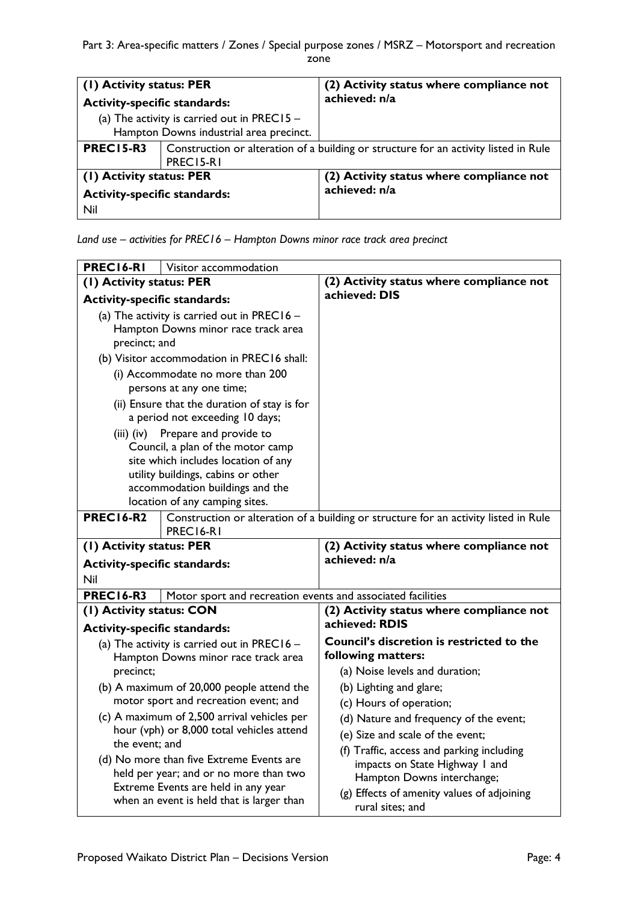| (1) Activity status: PER            |                                                                                                   | (2) Activity status where compliance not<br>achieved: n/a |
|-------------------------------------|---------------------------------------------------------------------------------------------------|-----------------------------------------------------------|
| <b>Activity-specific standards:</b> |                                                                                                   |                                                           |
|                                     | (a) The activity is carried out in PREC15 -<br>Hampton Downs industrial area precinct.            |                                                           |
| <b>PREC15-R3</b>                    | Construction or alteration of a building or structure for an activity listed in Rule<br>PREC15-R1 |                                                           |
| (1) Activity status: PER            |                                                                                                   | (2) Activity status where compliance not                  |
| <b>Activity-specific standards:</b> |                                                                                                   | achieved: n/a                                             |
| Nil                                 |                                                                                                   |                                                           |

*Land use – activities for PREC16 – Hampton Downs minor race track area precinct*

| PREC16-RI<br>Visitor accommodation          |                                                                                          |                                                                                      |
|---------------------------------------------|------------------------------------------------------------------------------------------|--------------------------------------------------------------------------------------|
| (1) Activity status: PER                    |                                                                                          | (2) Activity status where compliance not                                             |
| <b>Activity-specific standards:</b>         |                                                                                          | achieved: DIS                                                                        |
| (a) The activity is carried out in PREC16 - |                                                                                          |                                                                                      |
| Hampton Downs minor race track area         |                                                                                          |                                                                                      |
| precinct; and                               |                                                                                          |                                                                                      |
|                                             | (b) Visitor accommodation in PREC16 shall:                                               |                                                                                      |
|                                             | (i) Accommodate no more than 200<br>persons at any one time;                             |                                                                                      |
|                                             | (ii) Ensure that the duration of stay is for<br>a period not exceeding 10 days;          |                                                                                      |
| $(iii)$ $(iv)$                              | Prepare and provide to                                                                   |                                                                                      |
|                                             | Council, a plan of the motor camp                                                        |                                                                                      |
|                                             | site which includes location of any                                                      |                                                                                      |
|                                             | utility buildings, cabins or other<br>accommodation buildings and the                    |                                                                                      |
|                                             | location of any camping sites.                                                           |                                                                                      |
| <b>PREC16-R2</b>                            |                                                                                          | Construction or alteration of a building or structure for an activity listed in Rule |
|                                             | PREC16-R1                                                                                |                                                                                      |
| (1) Activity status: PER                    |                                                                                          | (2) Activity status where compliance not                                             |
| <b>Activity-specific standards:</b>         |                                                                                          | achieved: n/a                                                                        |
| Nil                                         |                                                                                          |                                                                                      |
| <b>PREC16-R3</b>                            | Motor sport and recreation events and associated facilities                              |                                                                                      |
| (I) Activity status: CON                    |                                                                                          | (2) Activity status where compliance not                                             |
| <b>Activity-specific standards:</b>         |                                                                                          | achieved: RDIS                                                                       |
|                                             | (a) The activity is carried out in PREC16 $-$                                            | Council's discretion is restricted to the                                            |
|                                             | Hampton Downs minor race track area                                                      | following matters:                                                                   |
| precinct;                                   |                                                                                          | (a) Noise levels and duration;                                                       |
| (b) A maximum of 20,000 people attend the   |                                                                                          | (b) Lighting and glare;                                                              |
| motor sport and recreation event; and       |                                                                                          | (c) Hours of operation;                                                              |
|                                             | (c) A maximum of 2,500 arrival vehicles per<br>hour (vph) or 8,000 total vehicles attend | (d) Nature and frequency of the event;                                               |
| the event; and                              |                                                                                          | (e) Size and scale of the event;                                                     |
|                                             | (d) No more than five Extreme Events are                                                 | (f) Traffic, access and parking including                                            |
|                                             | held per year; and or no more than two                                                   | impacts on State Highway I and<br>Hampton Downs interchange;                         |
|                                             | Extreme Events are held in any year                                                      | (g) Effects of amenity values of adjoining                                           |
|                                             | when an event is held that is larger than                                                | rural sites; and                                                                     |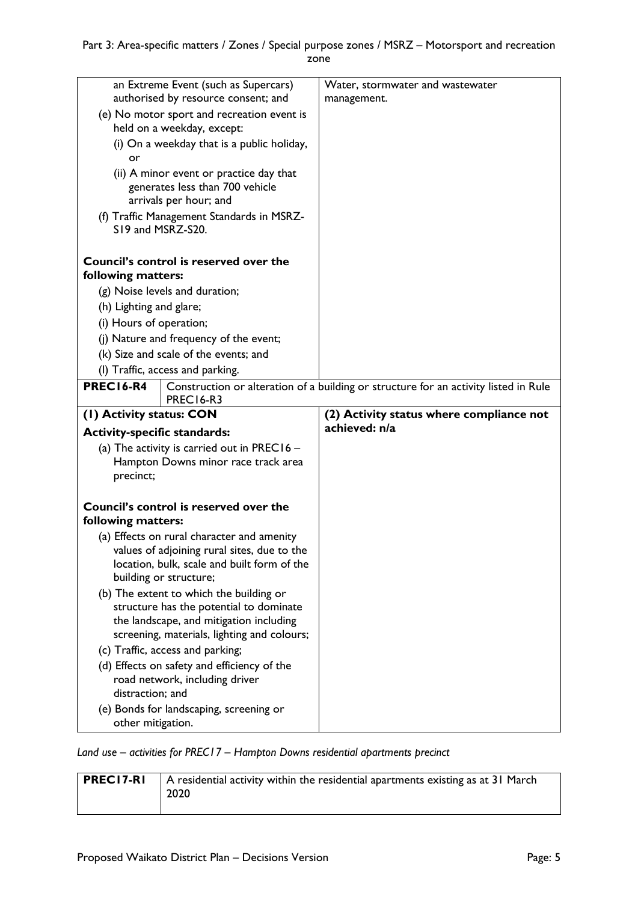|                                                                          | an Extreme Event (such as Supercars)<br>authorised by resource consent; and                                                                                                  | Water, stormwater and wastewater<br>management.                                      |
|--------------------------------------------------------------------------|------------------------------------------------------------------------------------------------------------------------------------------------------------------------------|--------------------------------------------------------------------------------------|
| (e) No motor sport and recreation event is<br>held on a weekday, except: |                                                                                                                                                                              |                                                                                      |
| or                                                                       | (i) On a weekday that is a public holiday,                                                                                                                                   |                                                                                      |
|                                                                          | (ii) A minor event or practice day that<br>generates less than 700 vehicle<br>arrivals per hour; and                                                                         |                                                                                      |
| S19 and MSRZ-S20.                                                        | (f) Traffic Management Standards in MSRZ-                                                                                                                                    |                                                                                      |
| following matters:                                                       | Council's control is reserved over the                                                                                                                                       |                                                                                      |
|                                                                          | (g) Noise levels and duration;                                                                                                                                               |                                                                                      |
| (h) Lighting and glare;                                                  |                                                                                                                                                                              |                                                                                      |
| (i) Hours of operation;                                                  |                                                                                                                                                                              |                                                                                      |
|                                                                          | (j) Nature and frequency of the event;                                                                                                                                       |                                                                                      |
|                                                                          | (k) Size and scale of the events; and                                                                                                                                        |                                                                                      |
|                                                                          | (I) Traffic, access and parking.                                                                                                                                             |                                                                                      |
| PREC16-R4                                                                |                                                                                                                                                                              | Construction or alteration of a building or structure for an activity listed in Rule |
|                                                                          | PREC <sub>16</sub> -R <sub>3</sub>                                                                                                                                           |                                                                                      |
|                                                                          |                                                                                                                                                                              |                                                                                      |
| (1) Activity status: CON                                                 |                                                                                                                                                                              | (2) Activity status where compliance not                                             |
| <b>Activity-specific standards:</b>                                      |                                                                                                                                                                              | achieved: n/a                                                                        |
| precinct;                                                                | (a) The activity is carried out in PREC16 $-$<br>Hampton Downs minor race track area                                                                                         |                                                                                      |
| following matters:                                                       | Council's control is reserved over the                                                                                                                                       |                                                                                      |
|                                                                          | (a) Effects on rural character and amenity<br>values of adjoining rural sites, due to the<br>location, bulk, scale and built form of the<br>building or structure;           |                                                                                      |
|                                                                          | (b) The extent to which the building or<br>structure has the potential to dominate<br>the landscape, and mitigation including<br>screening, materials, lighting and colours; |                                                                                      |
|                                                                          | (c) Traffic, access and parking;                                                                                                                                             |                                                                                      |
| distraction; and                                                         | (d) Effects on safety and efficiency of the<br>road network, including driver<br>(e) Bonds for landscaping, screening or                                                     |                                                                                      |

*Land use – activities for PREC17 – Hampton Downs residential apartments precinct*

| <b>PRECI7-RI</b> | A residential activity within the residential apartments existing as at 31 March<br>2020 |
|------------------|------------------------------------------------------------------------------------------|
|------------------|------------------------------------------------------------------------------------------|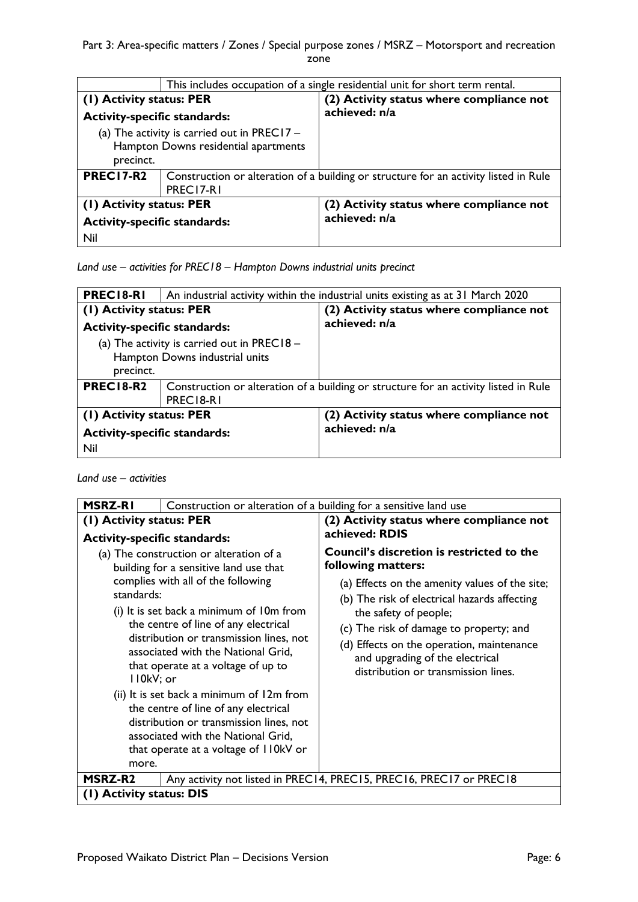Part 3: Area-specific matters / Zones / Special purpose zones / MSRZ - Motorsport and recreation zone

| This includes occupation of a single residential unit for short term rental. |                                                                                      |                                                           |
|------------------------------------------------------------------------------|--------------------------------------------------------------------------------------|-----------------------------------------------------------|
| (1) Activity status: PER                                                     |                                                                                      | (2) Activity status where compliance not<br>achieved: n/a |
| <b>Activity-specific standards:</b>                                          |                                                                                      |                                                           |
| (a) The activity is carried out in PREC17 $-$                                |                                                                                      |                                                           |
| Hampton Downs residential apartments                                         |                                                                                      |                                                           |
| precinct.                                                                    |                                                                                      |                                                           |
| <b>PREC17-R2</b>                                                             | Construction or alteration of a building or structure for an activity listed in Rule |                                                           |
| PREC17-R1                                                                    |                                                                                      |                                                           |
| (1) Activity status: PER                                                     |                                                                                      | (2) Activity status where compliance not                  |
| <b>Activity-specific standards:</b>                                          |                                                                                      | achieved: n/a                                             |
| Nil                                                                          |                                                                                      |                                                           |

*Land use – activities for PREC18 – Hampton Downs industrial units precinct*

| <b>PRECIS-RI</b>                              | An industrial activity within the industrial units existing as at 31 March 2020      |                                          |
|-----------------------------------------------|--------------------------------------------------------------------------------------|------------------------------------------|
| (I) Activity status: PER                      |                                                                                      | (2) Activity status where compliance not |
| <b>Activity-specific standards:</b>           |                                                                                      | achieved: n/a                            |
| (a) The activity is carried out in PREC18 $-$ |                                                                                      |                                          |
| Hampton Downs industrial units                |                                                                                      |                                          |
| precinct.                                     |                                                                                      |                                          |
| <b>PREC18-R2</b>                              | Construction or alteration of a building or structure for an activity listed in Rule |                                          |
|                                               | PREC18-R1                                                                            |                                          |
| (1) Activity status: PER                      |                                                                                      | (2) Activity status where compliance not |
| <b>Activity-specific standards:</b>           |                                                                                      | achieved: n/a                            |
| Nil                                           |                                                                                      |                                          |

*Land use – activities*

| <b>MSRZ-RI</b>                                                                                                                                                                                                        | Construction or alteration of a building for a sensitive land use                                                                                                                                                                                                                                                                  |                                                                                                                                                                                                                                                                                                                                                                     |
|-----------------------------------------------------------------------------------------------------------------------------------------------------------------------------------------------------------------------|------------------------------------------------------------------------------------------------------------------------------------------------------------------------------------------------------------------------------------------------------------------------------------------------------------------------------------|---------------------------------------------------------------------------------------------------------------------------------------------------------------------------------------------------------------------------------------------------------------------------------------------------------------------------------------------------------------------|
| (1) Activity status: PER                                                                                                                                                                                              |                                                                                                                                                                                                                                                                                                                                    | (2) Activity status where compliance not<br>achieved: RDIS                                                                                                                                                                                                                                                                                                          |
| <b>Activity-specific standards:</b><br>standards:<br>II0kV; or                                                                                                                                                        | (a) The construction or alteration of a<br>building for a sensitive land use that<br>complies with all of the following<br>(i) It is set back a minimum of 10m from<br>the centre of line of any electrical<br>distribution or transmission lines, not<br>associated with the National Grid,<br>that operate at a voltage of up to | <b>Council's discretion is restricted to the</b><br>following matters:<br>(a) Effects on the amenity values of the site;<br>(b) The risk of electrical hazards affecting<br>the safety of people;<br>(c) The risk of damage to property; and<br>(d) Effects on the operation, maintenance<br>and upgrading of the electrical<br>distribution or transmission lines. |
| (ii) It is set back a minimum of 12m from<br>the centre of line of any electrical<br>distribution or transmission lines, not<br>associated with the National Grid,<br>that operate at a voltage of I IOkV or<br>more. |                                                                                                                                                                                                                                                                                                                                    |                                                                                                                                                                                                                                                                                                                                                                     |
| <b>MSRZ-R2</b>                                                                                                                                                                                                        |                                                                                                                                                                                                                                                                                                                                    | Any activity not listed in PREC14, PREC15, PREC16, PREC17 or PREC18                                                                                                                                                                                                                                                                                                 |
| (1) Activity status: DIS                                                                                                                                                                                              |                                                                                                                                                                                                                                                                                                                                    |                                                                                                                                                                                                                                                                                                                                                                     |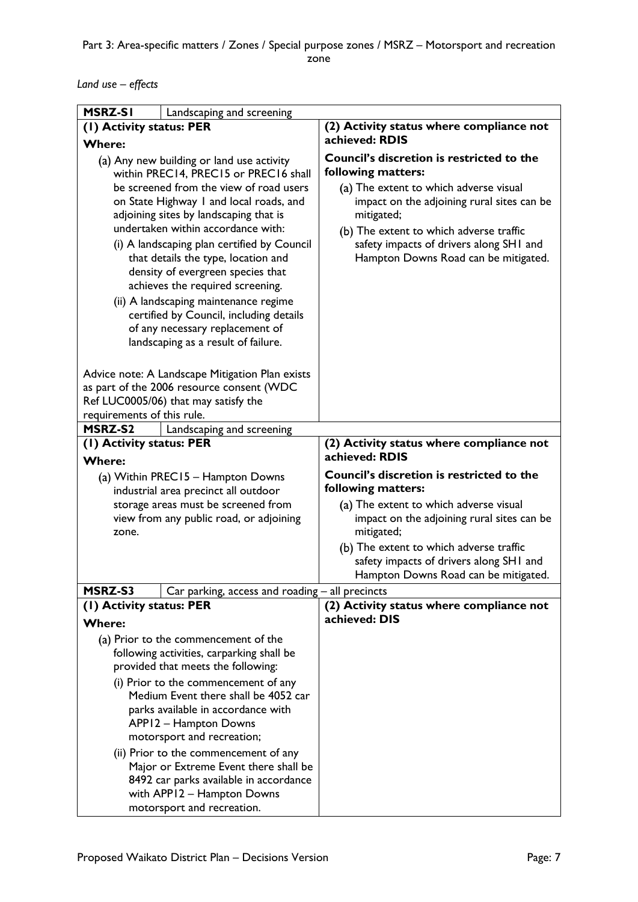*Land use – effects*

| <b>MSRZ-SI</b>                                                                                                                                                                                                                                                                                                                                                                                                                                                                                                                                                                                                                          | Landscaping and screening                                                                                                                                                            |                                                                                                                                                                                                                                                                                                            |
|-----------------------------------------------------------------------------------------------------------------------------------------------------------------------------------------------------------------------------------------------------------------------------------------------------------------------------------------------------------------------------------------------------------------------------------------------------------------------------------------------------------------------------------------------------------------------------------------------------------------------------------------|--------------------------------------------------------------------------------------------------------------------------------------------------------------------------------------|------------------------------------------------------------------------------------------------------------------------------------------------------------------------------------------------------------------------------------------------------------------------------------------------------------|
| (I) Activity status: PER                                                                                                                                                                                                                                                                                                                                                                                                                                                                                                                                                                                                                |                                                                                                                                                                                      | (2) Activity status where compliance not                                                                                                                                                                                                                                                                   |
| <b>Where:</b>                                                                                                                                                                                                                                                                                                                                                                                                                                                                                                                                                                                                                           |                                                                                                                                                                                      | achieved: RDIS                                                                                                                                                                                                                                                                                             |
| (a) Any new building or land use activity<br>within PREC14, PREC15 or PREC16 shall                                                                                                                                                                                                                                                                                                                                                                                                                                                                                                                                                      |                                                                                                                                                                                      | <b>Council's discretion is restricted to the</b><br>following matters:                                                                                                                                                                                                                                     |
| be screened from the view of road users<br>on State Highway I and local roads, and<br>adjoining sites by landscaping that is<br>undertaken within accordance with:<br>(i) A landscaping plan certified by Council<br>that details the type, location and<br>density of evergreen species that<br>achieves the required screening.<br>(ii) A landscaping maintenance regime<br>certified by Council, including details<br>of any necessary replacement of<br>landscaping as a result of failure.<br>Advice note: A Landscape Mitigation Plan exists<br>as part of the 2006 resource consent (WDC<br>Ref LUC0005/06) that may satisfy the |                                                                                                                                                                                      | (a) The extent to which adverse visual<br>impact on the adjoining rural sites can be<br>mitigated;<br>(b) The extent to which adverse traffic<br>safety impacts of drivers along SHI and<br>Hampton Downs Road can be mitigated.                                                                           |
| requirements of this rule.<br><b>MSRZ-S2</b>                                                                                                                                                                                                                                                                                                                                                                                                                                                                                                                                                                                            | Landscaping and screening                                                                                                                                                            |                                                                                                                                                                                                                                                                                                            |
| (I) Activity status: PER<br><b>Where:</b>                                                                                                                                                                                                                                                                                                                                                                                                                                                                                                                                                                                               |                                                                                                                                                                                      | (2) Activity status where compliance not<br>achieved: RDIS                                                                                                                                                                                                                                                 |
| zone.                                                                                                                                                                                                                                                                                                                                                                                                                                                                                                                                                                                                                                   | (a) Within PREC15 - Hampton Downs<br>industrial area precinct all outdoor<br>storage areas must be screened from<br>view from any public road, or adjoining                          | <b>Council's discretion is restricted to the</b><br>following matters:<br>(a) The extent to which adverse visual<br>impact on the adjoining rural sites can be<br>mitigated;<br>(b) The extent to which adverse traffic<br>safety impacts of drivers along SHI and<br>Hampton Downs Road can be mitigated. |
| MSRZ-S3                                                                                                                                                                                                                                                                                                                                                                                                                                                                                                                                                                                                                                 | Car parking, access and roading – all precincts                                                                                                                                      |                                                                                                                                                                                                                                                                                                            |
| (I) Activity status: PER<br><b>Where:</b>                                                                                                                                                                                                                                                                                                                                                                                                                                                                                                                                                                                               |                                                                                                                                                                                      | (2) Activity status where compliance not<br>achieved: DIS                                                                                                                                                                                                                                                  |
|                                                                                                                                                                                                                                                                                                                                                                                                                                                                                                                                                                                                                                         | (a) Prior to the commencement of the<br>following activities, carparking shall be<br>provided that meets the following:                                                              |                                                                                                                                                                                                                                                                                                            |
|                                                                                                                                                                                                                                                                                                                                                                                                                                                                                                                                                                                                                                         | (i) Prior to the commencement of any<br>Medium Event there shall be 4052 car<br>parks available in accordance with<br>APP12 - Hampton Downs<br>motorsport and recreation;            |                                                                                                                                                                                                                                                                                                            |
|                                                                                                                                                                                                                                                                                                                                                                                                                                                                                                                                                                                                                                         | (ii) Prior to the commencement of any<br>Major or Extreme Event there shall be<br>8492 car parks available in accordance<br>with APP12 - Hampton Downs<br>motorsport and recreation. |                                                                                                                                                                                                                                                                                                            |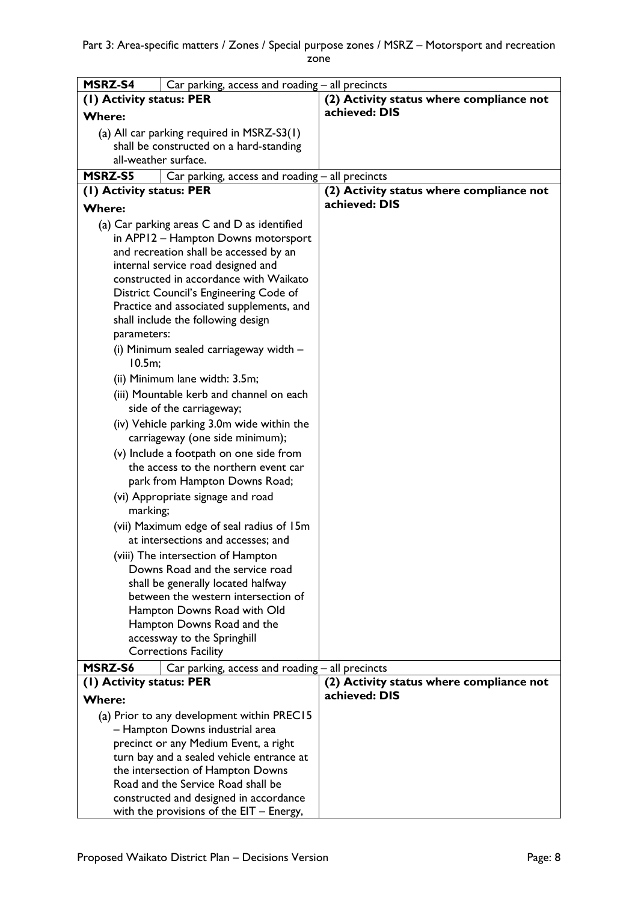| MSRZ-S4<br>Car parking, access and roading - all precincts |                                                                                |                                          |
|------------------------------------------------------------|--------------------------------------------------------------------------------|------------------------------------------|
| (1) Activity status: PER                                   |                                                                                | (2) Activity status where compliance not |
| <b>Where:</b>                                              |                                                                                | achieved: DIS                            |
| (a) All car parking required in MSRZ-S3(1)                 |                                                                                |                                          |
| shall be constructed on a hard-standing                    |                                                                                |                                          |
| all-weather surface.                                       |                                                                                |                                          |
| <b>MSRZ-S5</b>                                             | Car parking, access and roading - all precincts                                |                                          |
| (1) Activity status: PER                                   |                                                                                | (2) Activity status where compliance not |
| <b>Where:</b>                                              |                                                                                | achieved: DIS                            |
|                                                            | (a) Car parking areas C and D as identified                                    |                                          |
|                                                            | in APP12 - Hampton Downs motorsport                                            |                                          |
|                                                            | and recreation shall be accessed by an                                         |                                          |
|                                                            | internal service road designed and                                             |                                          |
|                                                            | constructed in accordance with Waikato                                         |                                          |
|                                                            | District Council's Engineering Code of                                         |                                          |
|                                                            | Practice and associated supplements, and<br>shall include the following design |                                          |
| parameters:                                                |                                                                                |                                          |
|                                                            | (i) Minimum sealed carriageway width -                                         |                                          |
| 10.5m;                                                     |                                                                                |                                          |
| (ii) Minimum lane width: 3.5m;                             |                                                                                |                                          |
|                                                            | (iii) Mountable kerb and channel on each                                       |                                          |
|                                                            | side of the carriageway;                                                       |                                          |
|                                                            | (iv) Vehicle parking 3.0m wide within the<br>carriageway (one side minimum);   |                                          |
| (v) Include a footpath on one side from                    |                                                                                |                                          |
|                                                            | the access to the northern event car                                           |                                          |
|                                                            | park from Hampton Downs Road;                                                  |                                          |
| marking;                                                   | (vi) Appropriate signage and road                                              |                                          |
|                                                            | (vii) Maximum edge of seal radius of 15m                                       |                                          |
|                                                            | at intersections and accesses; and                                             |                                          |
|                                                            | (viii) The intersection of Hampton                                             |                                          |
|                                                            | Downs Road and the service road                                                |                                          |
|                                                            | shall be generally located halfway                                             |                                          |
| between the western intersection of                        |                                                                                |                                          |
|                                                            | Hampton Downs Road with Old                                                    |                                          |
| Hampton Downs Road and the                                 |                                                                                |                                          |
| accessway to the Springhill<br><b>Corrections Facility</b> |                                                                                |                                          |
| MSRZ-S6                                                    | Car parking, access and roading - all precincts                                |                                          |
| (1) Activity status: PER                                   |                                                                                | (2) Activity status where compliance not |
| <b>Where:</b>                                              |                                                                                | achieved: DIS                            |
| (a) Prior to any development within PREC15                 |                                                                                |                                          |
| - Hampton Downs industrial area                            |                                                                                |                                          |
| precinct or any Medium Event, a right                      |                                                                                |                                          |
| turn bay and a sealed vehicle entrance at                  |                                                                                |                                          |
| the intersection of Hampton Downs                          |                                                                                |                                          |
| Road and the Service Road shall be                         |                                                                                |                                          |
| constructed and designed in accordance                     |                                                                                |                                          |
| with the provisions of the $EIT - Energy$ ,                |                                                                                |                                          |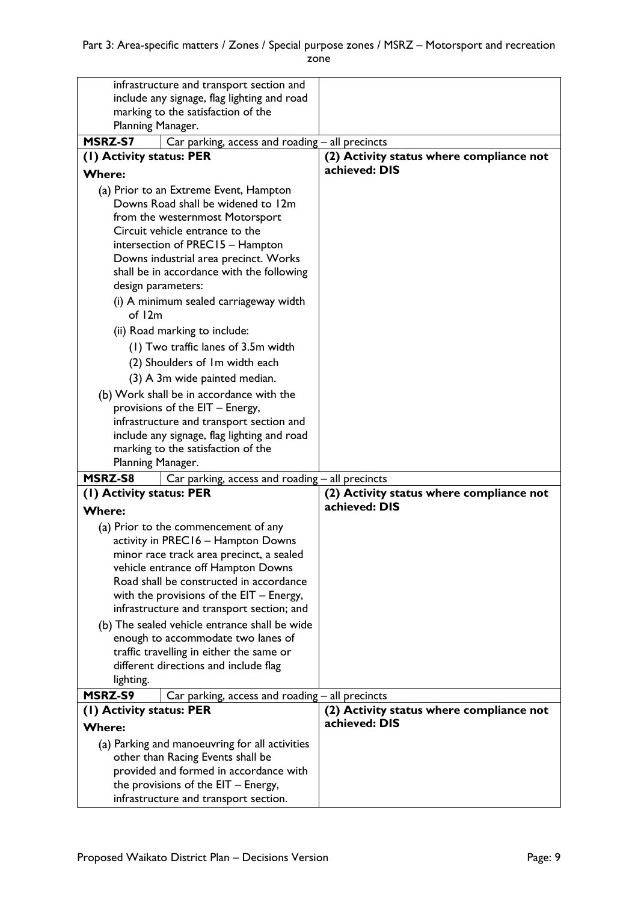| infrastructure and transport section and                                                 |                                                                                  |                                                           |
|------------------------------------------------------------------------------------------|----------------------------------------------------------------------------------|-----------------------------------------------------------|
| include any signage, flag lighting and road                                              |                                                                                  |                                                           |
| marking to the satisfaction of the                                                       |                                                                                  |                                                           |
| Planning Manager.                                                                        |                                                                                  |                                                           |
| MSRZ-S7                                                                                  | Car parking, access and roading - all precincts                                  |                                                           |
| (1) Activity status: PER                                                                 |                                                                                  | (2) Activity status where compliance not                  |
| <b>Where:</b>                                                                            |                                                                                  | achieved: DIS                                             |
| (a) Prior to an Extreme Event, Hampton                                                   |                                                                                  |                                                           |
|                                                                                          | Downs Road shall be widened to 12m                                               |                                                           |
| from the westernmost Motorsport                                                          |                                                                                  |                                                           |
| Circuit vehicle entrance to the                                                          |                                                                                  |                                                           |
|                                                                                          | intersection of PREC15 - Hampton                                                 |                                                           |
|                                                                                          | Downs industrial area precinct. Works                                            |                                                           |
|                                                                                          | shall be in accordance with the following                                        |                                                           |
| design parameters:                                                                       |                                                                                  |                                                           |
|                                                                                          | (i) A minimum sealed carriageway width                                           |                                                           |
| of $12m$                                                                                 |                                                                                  |                                                           |
|                                                                                          | (ii) Road marking to include:                                                    |                                                           |
| (1) Two traffic lanes of 3.5m width                                                      |                                                                                  |                                                           |
| (2) Shoulders of Im width each                                                           |                                                                                  |                                                           |
| (3) A 3m wide painted median.                                                            |                                                                                  |                                                           |
|                                                                                          |                                                                                  |                                                           |
| (b) Work shall be in accordance with the<br>provisions of the EIT - Energy,              |                                                                                  |                                                           |
|                                                                                          | infrastructure and transport section and                                         |                                                           |
|                                                                                          | include any signage, flag lighting and road                                      |                                                           |
| marking to the satisfaction of the                                                       |                                                                                  |                                                           |
| Planning Manager.                                                                        |                                                                                  |                                                           |
| MSRZ-S8                                                                                  | Car parking, access and roading - all precincts                                  |                                                           |
| (I) Activity status: PER                                                                 |                                                                                  | (2) Activity status where compliance not                  |
| <b>Where:</b>                                                                            |                                                                                  | achieved: DIS                                             |
|                                                                                          |                                                                                  |                                                           |
|                                                                                          | (a) Prior to the commencement of any<br>activity in PREC16 - Hampton Downs       |                                                           |
|                                                                                          | minor race track area precinct, a sealed                                         |                                                           |
|                                                                                          | vehicle entrance off Hampton Downs                                               |                                                           |
|                                                                                          |                                                                                  |                                                           |
| Road shall be constructed in accordance                                                  |                                                                                  |                                                           |
| with the provisions of the $EIT - Energy$ ,<br>infrastructure and transport section; and |                                                                                  |                                                           |
|                                                                                          |                                                                                  |                                                           |
| (b) The sealed vehicle entrance shall be wide<br>enough to accommodate two lanes of      |                                                                                  |                                                           |
| traffic travelling in either the same or                                                 |                                                                                  |                                                           |
| different directions and include flag                                                    |                                                                                  |                                                           |
| lighting.                                                                                |                                                                                  |                                                           |
|                                                                                          |                                                                                  |                                                           |
| MSRZ-S9                                                                                  |                                                                                  |                                                           |
|                                                                                          | Car parking, access and roading – all precincts                                  |                                                           |
| (1) Activity status: PER                                                                 |                                                                                  | (2) Activity status where compliance not<br>achieved: DIS |
| <b>Where:</b>                                                                            |                                                                                  |                                                           |
|                                                                                          | (a) Parking and manoeuvring for all activities                                   |                                                           |
|                                                                                          | other than Racing Events shall be                                                |                                                           |
|                                                                                          | provided and formed in accordance with<br>the provisions of the $EIT - Energy$ , |                                                           |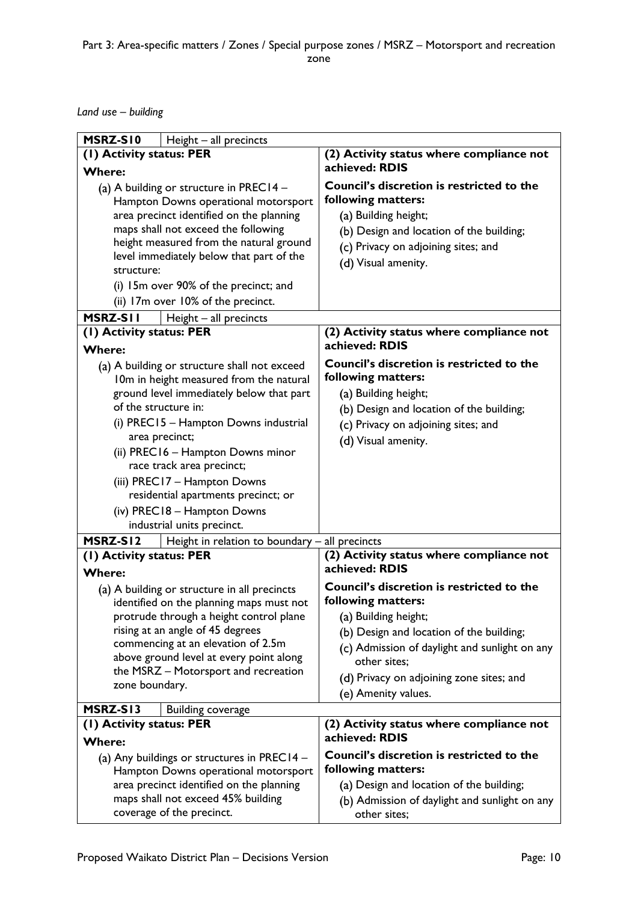*Land use – building*

| MSRZ-SI0<br>Height - all precincts                                                                                                                                                                                                                                                                                                                              |                                                                                                                                                                                                   |
|-----------------------------------------------------------------------------------------------------------------------------------------------------------------------------------------------------------------------------------------------------------------------------------------------------------------------------------------------------------------|---------------------------------------------------------------------------------------------------------------------------------------------------------------------------------------------------|
| (1) Activity status: PER                                                                                                                                                                                                                                                                                                                                        | (2) Activity status where compliance not                                                                                                                                                          |
| <b>Where:</b>                                                                                                                                                                                                                                                                                                                                                   | achieved: RDIS                                                                                                                                                                                    |
| (a) A building or structure in PREC14 $-$<br>Hampton Downs operational motorsport<br>area precinct identified on the planning                                                                                                                                                                                                                                   | Council's discretion is restricted to the<br>following matters:<br>(a) Building height;                                                                                                           |
| maps shall not exceed the following                                                                                                                                                                                                                                                                                                                             | (b) Design and location of the building;                                                                                                                                                          |
| height measured from the natural ground                                                                                                                                                                                                                                                                                                                         | (c) Privacy on adjoining sites; and                                                                                                                                                               |
| level immediately below that part of the                                                                                                                                                                                                                                                                                                                        |                                                                                                                                                                                                   |
| structure:                                                                                                                                                                                                                                                                                                                                                      | (d) Visual amenity.                                                                                                                                                                               |
| (i) 15m over 90% of the precinct; and                                                                                                                                                                                                                                                                                                                           |                                                                                                                                                                                                   |
| (ii) 17m over 10% of the precinct.                                                                                                                                                                                                                                                                                                                              |                                                                                                                                                                                                   |
| MSRZ-SII<br>Height - all precincts                                                                                                                                                                                                                                                                                                                              |                                                                                                                                                                                                   |
| (I) Activity status: PER                                                                                                                                                                                                                                                                                                                                        | (2) Activity status where compliance not                                                                                                                                                          |
| <b>Where:</b>                                                                                                                                                                                                                                                                                                                                                   | achieved: RDIS                                                                                                                                                                                    |
| (a) A building or structure shall not exceed<br>10m in height measured from the natural<br>ground level immediately below that part<br>of the structure in:<br>(i) PREC15 - Hampton Downs industrial<br>area precinct;<br>(ii) PREC16 - Hampton Downs minor<br>race track area precinct;<br>(iii) PREC17 - Hampton Downs<br>residential apartments precinct; or | Council's discretion is restricted to the<br>following matters:<br>(a) Building height;<br>(b) Design and location of the building;<br>(c) Privacy on adjoining sites; and<br>(d) Visual amenity. |
| (iv) PREC18 - Hampton Downs                                                                                                                                                                                                                                                                                                                                     |                                                                                                                                                                                                   |
| industrial units precinct.                                                                                                                                                                                                                                                                                                                                      |                                                                                                                                                                                                   |
| MSRZ-SI2<br>Height in relation to boundary $-$ all precincts                                                                                                                                                                                                                                                                                                    |                                                                                                                                                                                                   |
| (1) Activity status: PER                                                                                                                                                                                                                                                                                                                                        | (2) Activity status where compliance not                                                                                                                                                          |
| <b>Where:</b>                                                                                                                                                                                                                                                                                                                                                   | achieved: RDIS                                                                                                                                                                                    |
| (a) A building or structure in all precincts                                                                                                                                                                                                                                                                                                                    | <b>Council's discretion is restricted to the</b><br>following matters:                                                                                                                            |
| identified on the planning maps must not<br>protrude through a height control plane                                                                                                                                                                                                                                                                             | (a) Building height;                                                                                                                                                                              |
| rising at an angle of 45 degrees                                                                                                                                                                                                                                                                                                                                | (b) Design and location of the building;                                                                                                                                                          |
| commencing at an elevation of 2.5m                                                                                                                                                                                                                                                                                                                              | (c) Admission of daylight and sunlight on any                                                                                                                                                     |
| above ground level at every point along<br>the MSRZ - Motorsport and recreation                                                                                                                                                                                                                                                                                 | other sites:                                                                                                                                                                                      |
| zone boundary.                                                                                                                                                                                                                                                                                                                                                  | (d) Privacy on adjoining zone sites; and                                                                                                                                                          |
|                                                                                                                                                                                                                                                                                                                                                                 | (e) Amenity values.                                                                                                                                                                               |
| MSRZ-SI3<br><b>Building coverage</b>                                                                                                                                                                                                                                                                                                                            |                                                                                                                                                                                                   |
| (1) Activity status: PER                                                                                                                                                                                                                                                                                                                                        | (2) Activity status where compliance not                                                                                                                                                          |
| <b>Where:</b>                                                                                                                                                                                                                                                                                                                                                   | achieved: RDIS                                                                                                                                                                                    |
| (a) Any buildings or structures in PREC14 -<br>Hampton Downs operational motorsport                                                                                                                                                                                                                                                                             | Council's discretion is restricted to the<br>following matters:                                                                                                                                   |
| area precinct identified on the planning<br>maps shall not exceed 45% building                                                                                                                                                                                                                                                                                  | (a) Design and location of the building;                                                                                                                                                          |
| coverage of the precinct.                                                                                                                                                                                                                                                                                                                                       | (b) Admission of daylight and sunlight on any<br>other sites;                                                                                                                                     |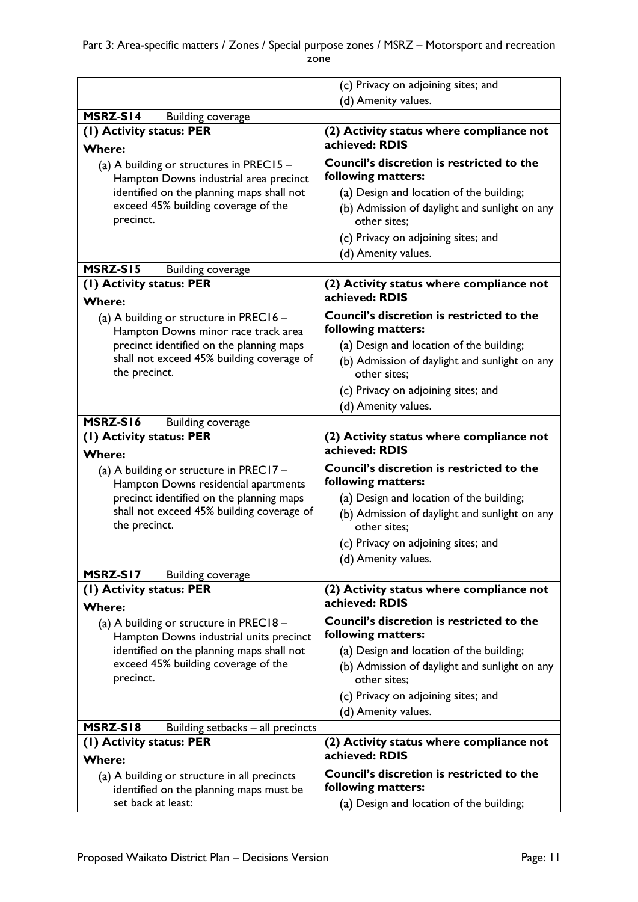|                                                                      | (c) Privacy on adjoining sites; and                        |  |
|----------------------------------------------------------------------|------------------------------------------------------------|--|
|                                                                      | (d) Amenity values.                                        |  |
| MSRZ-S14<br><b>Building coverage</b>                                 |                                                            |  |
| (1) Activity status: PER                                             | (2) Activity status where compliance not                   |  |
| <b>Where:</b>                                                        | achieved: RDIS                                             |  |
| (a) A building or structures in PREC15 $-$                           | <b>Council's discretion is restricted to the</b>           |  |
| Hampton Downs industrial area precinct                               | following matters:                                         |  |
| identified on the planning maps shall not                            | (a) Design and location of the building;                   |  |
| exceed 45% building coverage of the                                  | (b) Admission of daylight and sunlight on any              |  |
| precinct.                                                            | other sites:                                               |  |
|                                                                      | (c) Privacy on adjoining sites; and                        |  |
|                                                                      | (d) Amenity values.                                        |  |
| MSRZ-S15<br><b>Building coverage</b>                                 |                                                            |  |
| (1) Activity status: PER                                             | (2) Activity status where compliance not                   |  |
| <b>Where:</b>                                                        | achieved: RDIS                                             |  |
| (a) A building or structure in PREC16 -                              | <b>Council's discretion is restricted to the</b>           |  |
| Hampton Downs minor race track area                                  | following matters:                                         |  |
| precinct identified on the planning maps                             | (a) Design and location of the building;                   |  |
| shall not exceed 45% building coverage of                            | (b) Admission of daylight and sunlight on any              |  |
| the precinct.                                                        | other sites:                                               |  |
|                                                                      | (c) Privacy on adjoining sites; and                        |  |
|                                                                      | (d) Amenity values.                                        |  |
| MSRZ-S16<br><b>Building coverage</b>                                 |                                                            |  |
| (1) Activity status: PER<br><b>Where:</b>                            | (2) Activity status where compliance not<br>achieved: RDIS |  |
| (a) A building or structure in PREC17 -                              | <b>Council's discretion is restricted to the</b>           |  |
| Hampton Downs residential apartments                                 | following matters:                                         |  |
| precinct identified on the planning maps                             | (a) Design and location of the building;                   |  |
| shall not exceed 45% building coverage of                            | (b) Admission of daylight and sunlight on any              |  |
| the precinct.                                                        | other sites:                                               |  |
|                                                                      | (c) Privacy on adjoining sites; and                        |  |
|                                                                      | (d) Amenity values.                                        |  |
| MSRZ-SI7<br><b>Building coverage</b>                                 |                                                            |  |
| (I) Activity status: PER                                             | (2) Activity status where compliance not                   |  |
| <b>Where:</b>                                                        | achieved: RDIS                                             |  |
| (a) A building or structure in PREC18 -                              | <b>Council's discretion is restricted to the</b>           |  |
| Hampton Downs industrial units precinct                              | following matters:                                         |  |
| identified on the planning maps shall not                            | (a) Design and location of the building;                   |  |
| exceed 45% building coverage of the                                  | (b) Admission of daylight and sunlight on any              |  |
| precinct.                                                            | other sites:                                               |  |
|                                                                      | (c) Privacy on adjoining sites; and                        |  |
|                                                                      | (d) Amenity values.                                        |  |
| MSRZ-SI8<br>Building setbacks - all precincts                        |                                                            |  |
| (I) Activity status: PER<br>(2) Activity status where compliance not |                                                            |  |
| <b>Where:</b>                                                        | achieved: RDIS                                             |  |
| (a) A building or structure in all precincts                         | <b>Council's discretion is restricted to the</b>           |  |
| identified on the planning maps must be                              | following matters:                                         |  |
| set back at least:                                                   | (a) Design and location of the building;                   |  |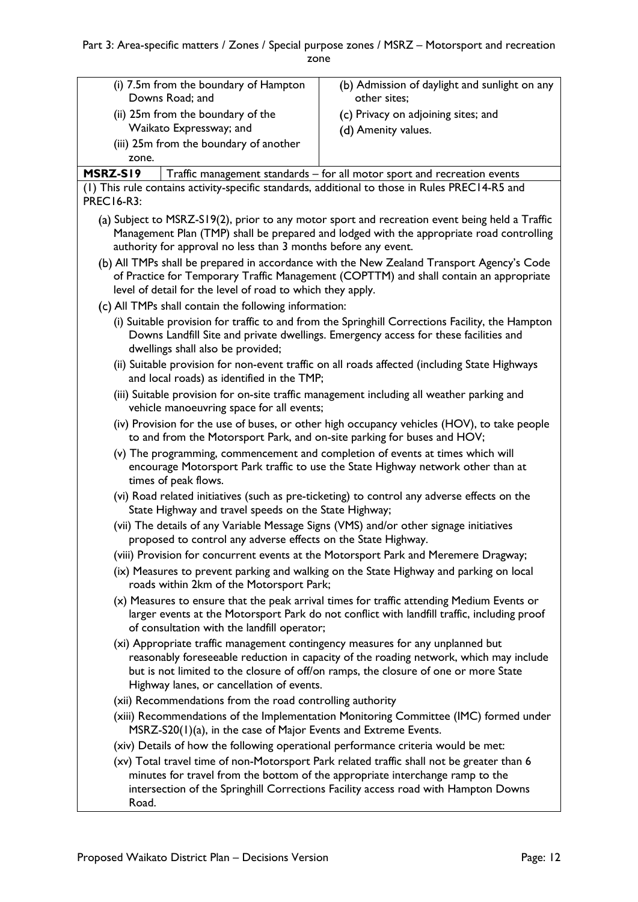| (i) 7.5m from the boundary of Hampton           | (b) Admission of daylight and sunlight on any |
|-------------------------------------------------|-----------------------------------------------|
| Downs Road; and                                 | other sites;                                  |
| (ii) 25m from the boundary of the               | (c) Privacy on adjoining sites; and           |
| Waikato Expressway; and                         | (d) Amenity values.                           |
| (iii) 25m from the boundary of another<br>zone. |                                               |

**MSRZ-S19** Traffic management standards – for all motor sport and recreation events

(1) This rule contains activity-specific standards, additional to those in Rules PREC14-R5 and PREC16-R3:

- (a) Subject to MSRZ-S19(2), prior to any motor sport and recreation event being held a Traffic Management Plan (TMP) shall be prepared and lodged with the appropriate road controlling authority for approval no less than 3 months before any event.
- (b) All TMPs shall be prepared in accordance with the New Zealand Transport Agency's Code of Practice for Temporary Traffic Management (COPTTM) and shall contain an appropriate level of detail for the level of road to which they apply.
- All TMPs shall contain the following information:
	- (i) Suitable provision for traffic to and from the Springhill Corrections Facility, the Hampton Downs Landfill Site and private dwellings. Emergency access for these facilities and dwellings shall also be provided;
	- (ii) Suitable provision for non-event traffic on all roads affected (including State Highways and local roads) as identified in the TMP;
	- (iii) Suitable provision for on-site traffic management including all weather parking and vehicle manoeuvring space for all events;
	- (iv) Provision for the use of buses, or other high occupancy vehicles (HOV), to take people to and from the Motorsport Park, and on-site parking for buses and HOV;
	- (v) The programming, commencement and completion of events at times which will encourage Motorsport Park traffic to use the State Highway network other than at times of peak flows.
	- (vi) Road related initiatives (such as pre-ticketing) to control any adverse effects on the State Highway and travel speeds on the State Highway;
	- (vii) The details of any Variable Message Signs (VMS) and/or other signage initiatives proposed to control any adverse effects on the State Highway.
	- (viii) Provision for concurrent events at the Motorsport Park and Meremere Dragway;
	- (ix) Measures to prevent parking and walking on the State Highway and parking on local roads within 2km of the Motorsport Park;
	- (x) Measures to ensure that the peak arrival times for traffic attending Medium Events or larger events at the Motorsport Park do not conflict with landfill traffic, including proof of consultation with the landfill operator;
	- (xi) Appropriate traffic management contingency measures for any unplanned but reasonably foreseeable reduction in capacity of the roading network, which may include but is not limited to the closure of off/on ramps, the closure of one or more State Highway lanes, or cancellation of events.
	- (xii) Recommendations from the road controlling authority
	- (xiii) Recommendations of the Implementation Monitoring Committee (IMC) formed under MSRZ-S20(1)(a), in the case of Major Events and Extreme Events.
	- (xiv) Details of how the following operational performance criteria would be met:
	- (xv) Total travel time of non-Motorsport Park related traffic shall not be greater than 6 minutes for travel from the bottom of the appropriate interchange ramp to the intersection of the Springhill Corrections Facility access road with Hampton Downs Road.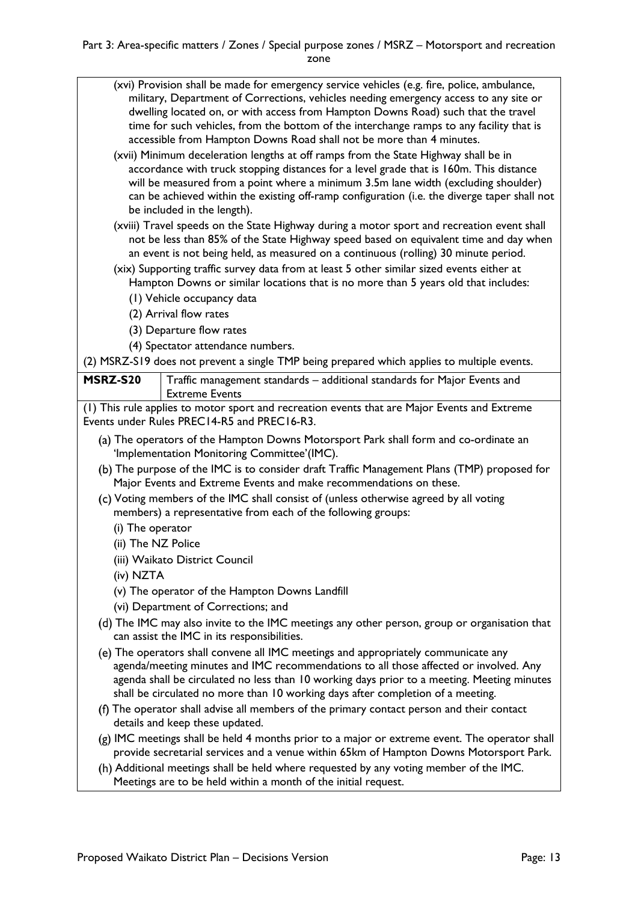- (xvi) Provision shall be made for emergency service vehicles (e.g. fire, police, ambulance, military, Department of Corrections, vehicles needing emergency access to any site or dwelling located on, or with access from Hampton Downs Road) such that the travel time for such vehicles, from the bottom of the interchange ramps to any facility that is accessible from Hampton Downs Road shall not be more than 4 minutes.
- (xvii) Minimum deceleration lengths at off ramps from the State Highway shall be in accordance with truck stopping distances for a level grade that is 160m. This distance will be measured from a point where a minimum 3.5m lane width (excluding shoulder) can be achieved within the existing off-ramp configuration (i.e. the diverge taper shall not be included in the length).
- (xviii) Travel speeds on the State Highway during a motor sport and recreation event shall not be less than 85% of the State Highway speed based on equivalent time and day when an event is not being held, as measured on a continuous (rolling) 30 minute period.
- (xix) Supporting traffic survey data from at least 5 other similar sized events either at Hampton Downs or similar locations that is no more than 5 years old that includes:
	- (1) Vehicle occupancy data
	- (2) Arrival flow rates
	- (3) Departure flow rates
	- (4) Spectator attendance numbers.

(2) MSRZ-S19 does not prevent a single TMP being prepared which applies to multiple events.

**MSRZ-S20** Traffic management standards – additional standards for Major Events and Extreme Events

(1) This rule applies to motor sport and recreation events that are Major Events and Extreme Events under Rules PREC14-R5 and PREC16-R3.

- (a) The operators of the Hampton Downs Motorsport Park shall form and co-ordinate an 'Implementation Monitoring Committee'(IMC).
- The purpose of the IMC is to consider draft Traffic Management Plans (TMP) proposed for Major Events and Extreme Events and make recommendations on these.
- Voting members of the IMC shall consist of (unless otherwise agreed by all voting members) a representative from each of the following groups:
	- (i) The operator
	- (ii) The NZ Police
	- (iii) Waikato District Council
	- (iv) NZTA
	- (v) The operator of the Hampton Downs Landfill
	- (vi) Department of Corrections; and
- The IMC may also invite to the IMC meetings any other person, group or organisation that can assist the IMC in its responsibilities.
- The operators shall convene all IMC meetings and appropriately communicate any agenda/meeting minutes and IMC recommendations to all those affected or involved. Any agenda shall be circulated no less than 10 working days prior to a meeting. Meeting minutes shall be circulated no more than 10 working days after completion of a meeting.
- The operator shall advise all members of the primary contact person and their contact details and keep these updated.
- (g) IMC meetings shall be held 4 months prior to a major or extreme event. The operator shall provide secretarial services and a venue within 65km of Hampton Downs Motorsport Park.
- Additional meetings shall be held where requested by any voting member of the IMC. Meetings are to be held within a month of the initial request.